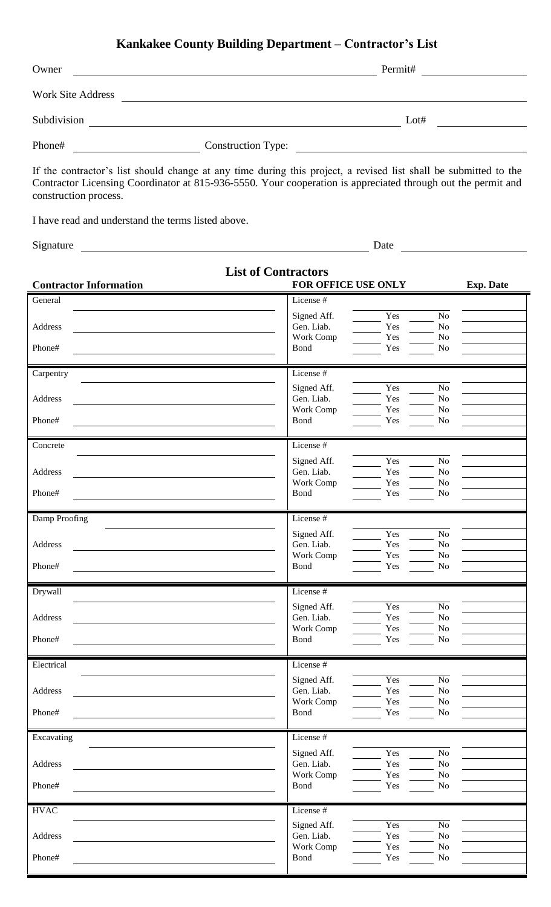## **Kankakee County Building Department – Contractor's List**

| Owner             |                           | Permit# |  |
|-------------------|---------------------------|---------|--|
| Work Site Address |                           |         |  |
| Subdivision       |                           | Lot#    |  |
| Phone#            | <b>Construction Type:</b> |         |  |

If the contractor's list should change at any time during this project, a revised list shall be submitted to the Contractor Licensing Coordinator at 815-936-5550. Your cooperation is appreciated through out the permit and construction process.

I have read and understand the terms listed above.

Signature Date

| <b>Contractor Information</b> | <b>List of Contractors</b><br>FOR OFFICE USE ONLY | <b>Exp. Date</b>           |
|-------------------------------|---------------------------------------------------|----------------------------|
| General                       | License #                                         |                            |
|                               | Signed Aff.<br>Yes                                | $\rm No$                   |
| Address                       | Gen. Liab.<br>Yes                                 | $\rm No$                   |
|                               | Work Comp<br>Yes                                  | $\rm No$                   |
| Phone#                        | Bond<br>Yes                                       | $\rm No$                   |
| Carpentry                     | License #                                         |                            |
|                               | Signed Aff.<br>Yes                                | $\rm No$                   |
| Address                       | Gen. Liab.<br>Yes                                 | No                         |
|                               | Work Comp<br>Yes                                  | No                         |
| Phone#                        | Bond<br>Yes                                       | $\rm No$                   |
| Concrete                      | License #                                         |                            |
|                               | Yes<br>Signed Aff.                                | $\rm No$                   |
| Address                       | Gen. Liab.<br>Yes                                 | $\rm No$                   |
|                               | Work Comp<br>Yes                                  | $\rm No$                   |
| Phone#                        | Yes<br>Bond                                       | $\rm No$                   |
| Damp Proofing                 | License #                                         |                            |
|                               | Yes<br>Signed Aff.                                | $\rm No$                   |
| Address                       | Gen. Liab.<br>Yes                                 | No                         |
|                               | Work Comp<br>Yes                                  | $\rm No$                   |
| Phone#                        | Yes<br><b>Bond</b>                                | $\rm No$                   |
| Drywall                       | License #                                         |                            |
|                               | Yes<br>Signed Aff.                                | $\rm No$                   |
| Address                       | Gen. Liab.<br>Yes                                 | $\rm No$                   |
|                               | Work Comp<br>Yes                                  | $\rm No$                   |
| Phone#                        | Bond<br>Yes                                       | $\rm No$                   |
| Electrical                    | License #                                         |                            |
|                               | Signed Aff.<br>Yes                                | $\rm No$                   |
| Address                       | Gen. Liab.<br>Yes                                 | $\rm No$                   |
| Phone#                        | Work Comp<br>Yes<br>Bond<br>Yes                   | $\rm No$<br>N <sub>o</sub> |
|                               |                                                   |                            |
| Excavating                    | License #                                         |                            |
|                               | Signed Aff.<br>Yes                                | $\rm No$                   |
| Address                       | Gen. Liab.<br>Yes                                 | $\rm No$                   |
|                               | Work Comp<br>Yes                                  | $\rm No$                   |
| Phone#                        | Bond<br>Yes                                       | $\rm No$                   |
| <b>HVAC</b>                   | License #                                         |                            |
|                               | Yes<br>Signed Aff.                                | $\rm No$                   |
| Address                       | Gen. Liab.<br>Yes                                 | $\rm No$                   |
|                               | Work Comp<br>Yes                                  | $\rm No$                   |
|                               |                                                   |                            |
| Phone#                        | Bond<br>Yes                                       | $\rm No$                   |